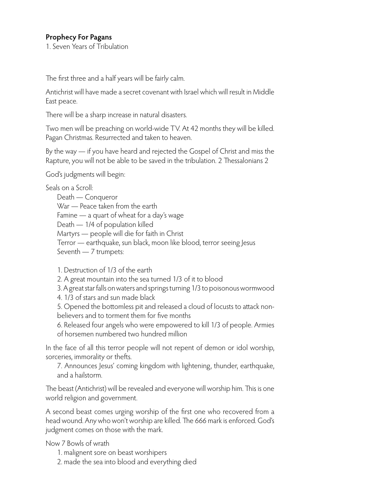## **Prophecy For Pagans**

1. Seven Years of Tribulation

The first three and a half years will be fairly calm.

Antichrist will have made a secret covenant with Israel which will result in Middle East peace.

There will be a sharp increase in natural disasters.

Two men will be preaching on world-wide TV. At 42 months they will be killed. Pagan Christmas. Resurrected and taken to heaven.

By the way — if you have heard and rejected the Gospel of Christ and miss the Rapture, you will not be able to be saved in the tribulation. 2 Thessalonians 2

God's judgments will begin:

Seals on a Scroll:

Death — Conqueror War — Peace taken from the earth Famine — a quart of wheat for a day's wage Death — 1/4 of population killed Martyrs — people will die for faith in Christ Terror — earthquake, sun black, moon like blood, terror seeing Jesus Seventh — 7 trumpets:

1. Destruction of 1/3 of the earth

2. A great mountain into the sea turned 1/3 of it to blood

3. A great star falls on waters and springs turning 1/3 to poisonous wormwood

4. 1/3 of stars and sun made black

5. Opened the bottomless pit and released a cloud of locusts to attack nonbelievers and to torment them for five months

6. Released four angels who were empowered to kill 1/3 of people. Armies of horsemen numbered two hundred million

In the face of all this terror people will not repent of demon or idol worship, sorceries, immorality or thefts.

7. Announces Jesus' coming kingdom with lightening, thunder, earthquake, and a hailstorm.

The beast (Antichrist) will be revealed and everyone will worship him. This is one world religion and government.

A second beast comes urging worship of the first one who recovered from a head wound. Any who won't worship are killed. The 666 mark is enforced. God's judgment comes on those with the mark.

Now 7 Bowls of wrath

1. malignent sore on beast worshipers

2. made the sea into blood and everything died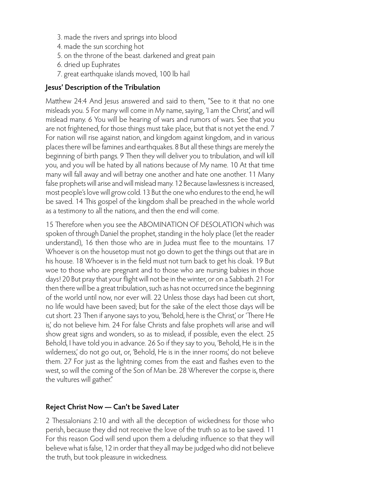- 3. made the rivers and springs into blood
- 4. made the sun scorching hot
- 5. on the throne of the beast. darkened and great pain
- 6. dried up Euphrates
- 7. great earthquake islands moved, 100 lb hail

#### **Jesus' Description of the Tribulation**

Matthew 24:4 And Jesus answered and said to them, "See to it that no one misleads you. 5 For many will come in My name, saying, 'I am the Christ,' and will mislead many. 6 You will be hearing of wars and rumors of wars. See that you are not frightened, for those things must take place, but that is not yet the end. 7 For nation will rise against nation, and kingdom against kingdom, and in various places there will be famines and earthquakes. 8 But all these things are merely the beginning of birth pangs. 9 Then they will deliver you to tribulation, and will kill you, and you will be hated by all nations because of My name. 10 At that time many will fall away and will betray one another and hate one another. 11 Many false prophets will arise and will mislead many. 12 Because lawlessness is increased, most people's love will grow cold. 13 But the one who endures to the end, he will be saved. 14 This gospel of the kingdom shall be preached in the whole world as a testimony to all the nations, and then the end will come.

15 Therefore when you see the ABOMINATION OF DESOLATION which was spoken of through Daniel the prophet, standing in the holy place (let the reader understand), 16 then those who are in Judea must flee to the mountains. 17 Whoever is on the housetop must not go down to get the things out that are in his house. 18 Whoever is in the field must not turn back to get his cloak. 19 But woe to those who are pregnant and to those who are nursing babies in those days! 20 But pray that your flight will not be in the winter, or on a Sabbath. 21 For then there will be a great tribulation, such as has not occurred since the beginning of the world until now, nor ever will. 22 Unless those days had been cut short, no life would have been saved; but for the sake of the elect those days will be cut short. 23 Then if anyone says to you, 'Behold, here is the Christ,' or 'There He is,' do not believe him. 24 For false Christs and false prophets will arise and will show great signs and wonders, so as to mislead, if possible, even the elect. 25 Behold, I have told you in advance. 26 So if they say to you, 'Behold, He is in the wilderness,' do not go out, or, 'Behold, He is in the inner rooms,' do not believe them. 27 For just as the lightning comes from the east and flashes even to the west, so will the coming of the Son of Man be. 28 Wherever the corpse is, there the vultures will gather."

### **Reject Christ Now — Can't be Saved Later**

2 Thessalonians 2:10 and with all the deception of wickedness for those who perish, because they did not receive the love of the truth so as to be saved. 11 For this reason God will send upon them a deluding influence so that they will believe what is false, 12 in order that they all may be judged who did not believe the truth, but took pleasure in wickedness.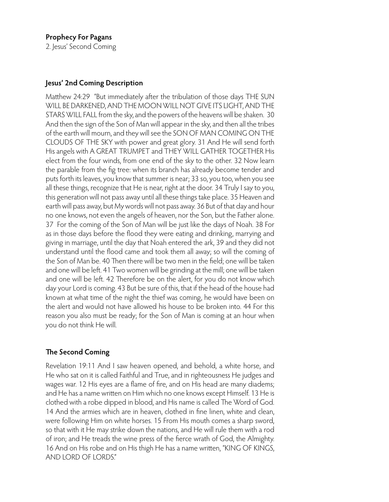### **Jesus' 2nd Coming Description**

Matthew 24:29 "But immediately after the tribulation of those days THE SUN WILL BE DARKENED, AND THE MOON WILL NOT GIVE ITS LIGHT, AND THE STARS WILL FALL from the sky, and the powers of the heavens will be shaken. 30 And then the sign of the Son of Man will appear in the sky, and then all the tribes of the earth will mourn, and they will see the SON OF MAN COMING ON THE CLOUDS OF THE SKY with power and great glory. 31 And He will send forth His angels with A GREAT TRUMPET and THEY WILL GATHER TOGETHER His elect from the four winds, from one end of the sky to the other. 32 Now learn the parable from the fig tree: when its branch has already become tender and puts forth its leaves, you know that summer is near; 33 so, you too, when you see all these things, recognize that He is near, right at the door. 34 Truly I say to you, this generation will not pass away until all these things take place. 35 Heaven and earth will pass away, but My words will not pass away. 36 But of that day and hour no one knows, not even the angels of heaven, nor the Son, but the Father alone. 37 For the coming of the Son of Man will be just like the days of Noah. 38 For as in those days before the flood they were eating and drinking, marrying and giving in marriage, until the day that Noah entered the ark, 39 and they did not understand until the flood came and took them all away; so will the coming of the Son of Man be. 40 Then there will be two men in the field; one will be taken and one will be left. 41 Two women will be grinding at the mill; one will be taken and one will be left. 42 Therefore be on the alert, for you do not know which day your Lord is coming. 43 But be sure of this, that if the head of the house had known at what time of the night the thief was coming, he would have been on the alert and would not have allowed his house to be broken into. 44 For this reason you also must be ready; for the Son of Man is coming at an hour when you do not think He will.

## **The Second Coming**

Revelation 19:11 And I saw heaven opened, and behold, a white horse, and He who sat on it is called Faithful and True, and in righteousness He judges and wages war. 12 His eyes are a flame of fire, and on His head are many diadems; and He has a name written on Him which no one knows except Himself. 13 He is clothed with a robe dipped in blood, and His name is called The Word of God. 14 And the armies which are in heaven, clothed in fine linen, white and clean, were following Him on white horses. 15 From His mouth comes a sharp sword, so that with it He may strike down the nations, and He will rule them with a rod of iron; and He treads the wine press of the fierce wrath of God, the Almighty. 16 And on His robe and on His thigh He has a name written, "KING OF KINGS, AND LORD OF LORDS."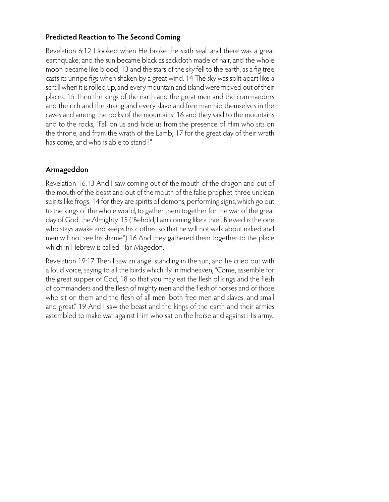### **Predicted Reaction to The Second Coming**

Revelation 6:12 I looked when He broke the sixth seal, and there was a great earthquake; and the sun became black as sackcloth made of hair, and the whole moon became like blood; 13 and the stars of the sky fell to the earth, as a fig tree casts its unripe figs when shaken by a great wind. 14 The sky was split apart like a scroll when it is rolled up, and every mountain and island were moved out of their places. 15 Then the kings of the earth and the great men and the commanders and the rich and the strong and every slave and free man hid themselves in the caves and among the rocks of the mountains; 16 and they said to the mountains and to the rocks, "Fall on us and hide us from the presence of Him who sits on the throne, and from the wrath of the Lamb; 17 for the great day of their wrath has come, and who is able to stand?"

# **Armageddon**

Revelation 16:13 And I saw coming out of the mouth of the dragon and out of the mouth of the beast and out of the mouth of the false prophet, three unclean spirits like frogs; 14 for they are spirits of demons, performing signs, which go out to the kings of the whole world, to gather them together for the war of the great day of God, the Almighty. 15 ("Behold, I am coming like a thief. Blessed is the one who stays awake and keeps his clothes, so that he will not walk about naked and men will not see his shame.") 16 And they gathered them together to the place which in Hebrew is called Har-Magedon.

Revelation 19:17 Then I saw an angel standing in the sun, and he cried out with a loud voice, saying to all the birds which fly in midheaven, "Come, assemble for the great supper of God, 18 so that you may eat the flesh of kings and the flesh of commanders and the flesh of mighty men and the flesh of horses and of those who sit on them and the flesh of all men, both free men and slaves, and small and great." 19 And I saw the beast and the kings of the earth and their armies assembled to make war against Him who sat on the horse and against His army.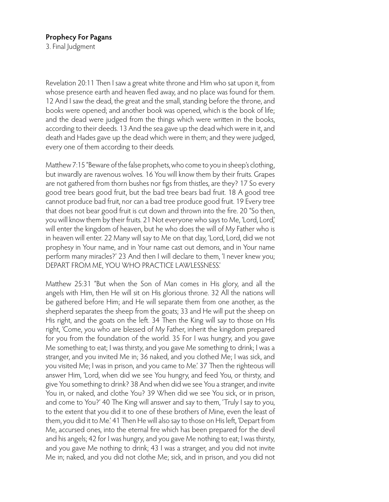#### **Prophecy For Pagans**

3. Final Judgment

Revelation 20:11 Then I saw a great white throne and Him who sat upon it, from whose presence earth and heaven fled away, and no place was found for them. 12 And I saw the dead, the great and the small, standing before the throne, and books were opened; and another book was opened, which is the book of life; and the dead were judged from the things which were written in the books, according to their deeds. 13 And the sea gave up the dead which were in it, and death and Hades gave up the dead which were in them; and they were judged, every one of them according to their deeds.

Matthew 7:15 "Beware of the false prophets, who come to you in sheep's clothing, but inwardly are ravenous wolves. 16 You will know them by their fruits. Grapes are not gathered from thorn bushes nor figs from thistles, are they? 17 So every good tree bears good fruit, but the bad tree bears bad fruit. 18 A good tree cannot produce bad fruit, nor can a bad tree produce good fruit. 19 Every tree that does not bear good fruit is cut down and thrown into the fire. 20 "So then, you will know them by their fruits. 21 Not everyone who says to Me, 'Lord, Lord,' will enter the kingdom of heaven, but he who does the will of My Father who is in heaven will enter. 22 Many will say to Me on that day, 'Lord, Lord, did we not prophesy in Your name, and in Your name cast out demons, and in Your name perform many miracles?' 23 And then I will declare to them, 'I never knew you; DEPART FROM ME, YOU WHO PRACTICE LAWLESSNESS.'

Matthew 25:31 "But when the Son of Man comes in His glory, and all the angels with Him, then He will sit on His glorious throne. 32 All the nations will be gathered before Him; and He will separate them from one another, as the shepherd separates the sheep from the goats; 33 and He will put the sheep on His right, and the goats on the left. 34 Then the King will say to those on His right, 'Come, you who are blessed of My Father, inherit the kingdom prepared for you from the foundation of the world. 35 For I was hungry, and you gave Me something to eat; I was thirsty, and you gave Me something to drink; I was a stranger, and you invited Me in; 36 naked, and you clothed Me; I was sick, and you visited Me; I was in prison, and you came to Me.' 37 Then the righteous will answer Him, 'Lord, when did we see You hungry, and feed You, or thirsty, and give You something to drink? 38 And when did we see You a stranger, and invite You in, or naked, and clothe You? 39 When did we see You sick, or in prison, and come to You?' 40 The King will answer and say to them, 'Truly I say to you, to the extent that you did it to one of these brothers of Mine, even the least of them, you did it to Me.' 41 Then He will also say to those on His left, 'Depart from Me, accursed ones, into the eternal fire which has been prepared for the devil and his angels; 42 for I was hungry, and you gave Me nothing to eat; I was thirsty, and you gave Me nothing to drink; 43 I was a stranger, and you did not invite Me in; naked, and you did not clothe Me; sick, and in prison, and you did not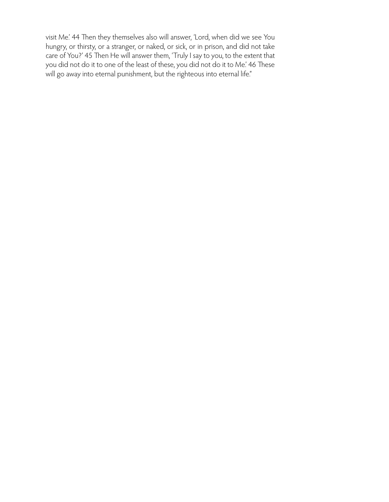visit Me.' 44 Then they themselves also will answer, 'Lord, when did we see You hungry, or thirsty, or a stranger, or naked, or sick, or in prison, and did not take care of You?' 45 Then He will answer them, 'Truly I say to you, to the extent that you did not do it to one of the least of these, you did not do it to Me.' 46 These will go away into eternal punishment, but the righteous into eternal life."